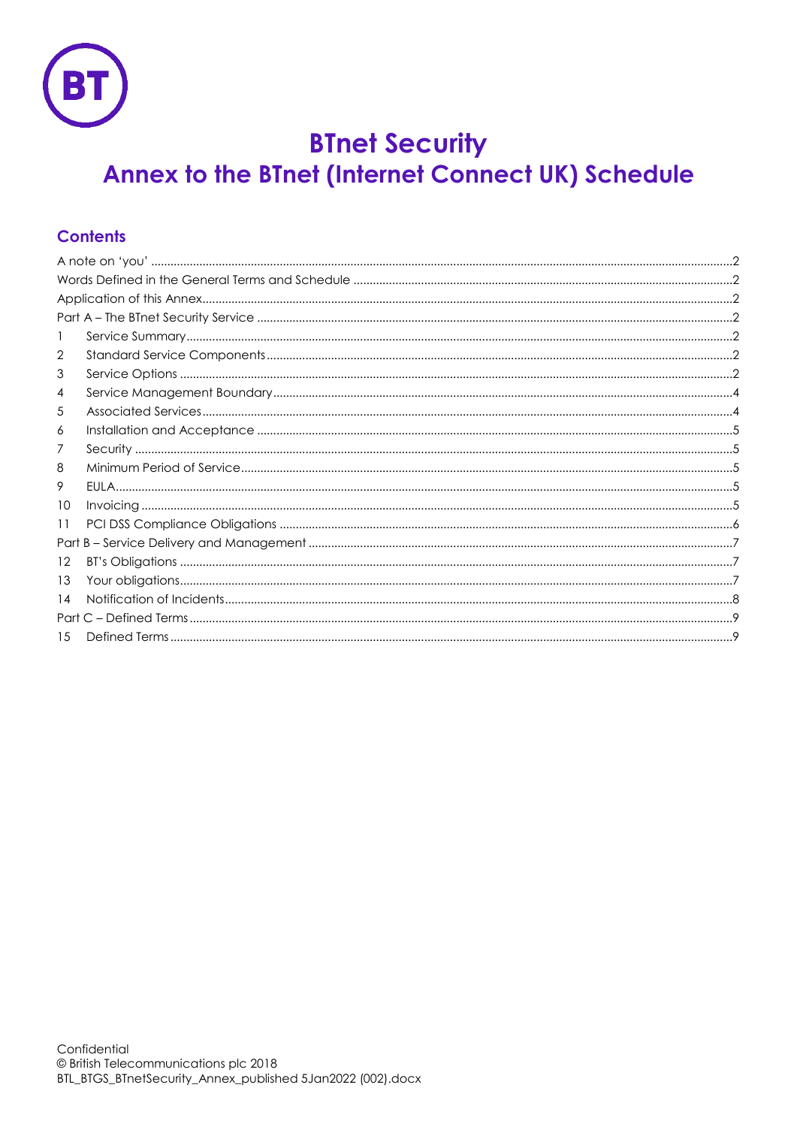

# **BTnet Security**

# Annex to the BTnet (Internet Connect UK) Schedule

# **Contents**

| 1  |  |  |
|----|--|--|
| 2  |  |  |
| 3  |  |  |
| 4  |  |  |
| 5  |  |  |
| 6  |  |  |
| 7  |  |  |
| 8  |  |  |
| 9  |  |  |
| 10 |  |  |
| 11 |  |  |
|    |  |  |
| 12 |  |  |
| 13 |  |  |
| 14 |  |  |
|    |  |  |
| 15 |  |  |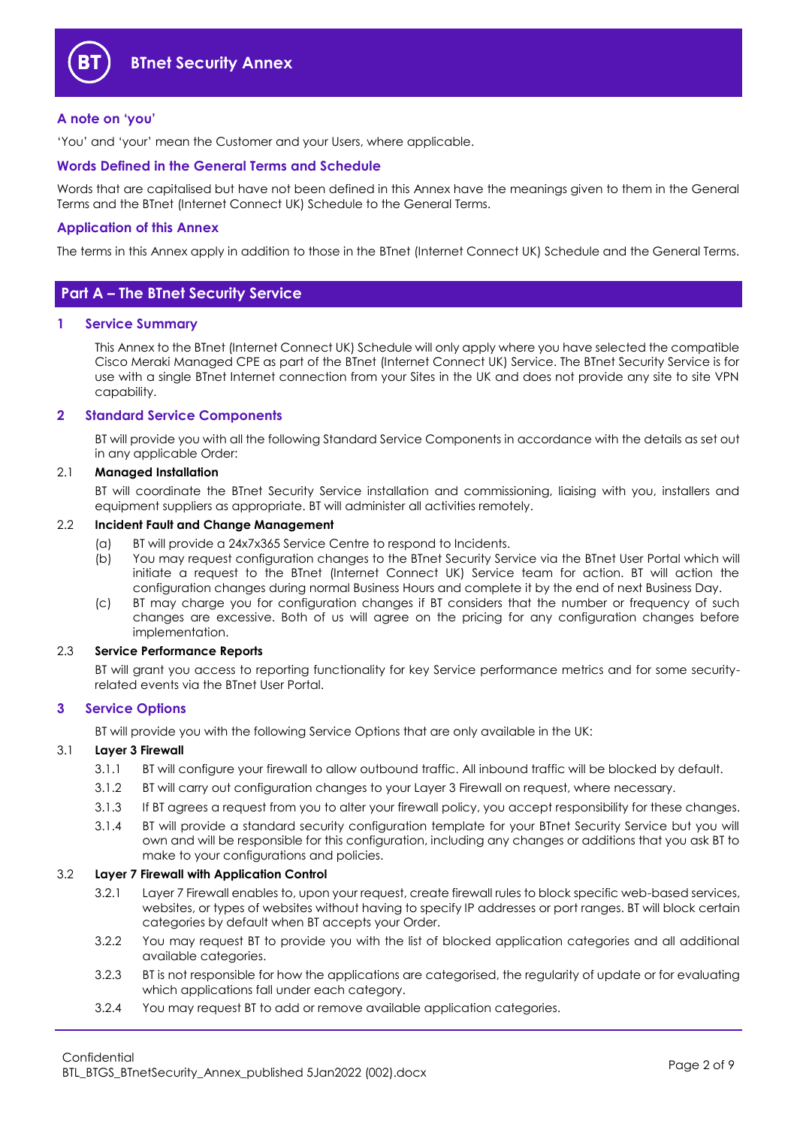

#### <span id="page-1-0"></span>**A note on 'you'**

'You' and 'your' mean the Customer and your Users, where applicable.

#### <span id="page-1-1"></span>**Words Defined in the General Terms and Schedule**

Words that are capitalised but have not been defined in this Annex have the meanings given to them in the General Terms and the BTnet (Internet Connect UK) Schedule to the General Terms.

#### <span id="page-1-2"></span>**Application of this Annex**

The terms in this Annex apply in addition to those in the BTnet (Internet Connect UK) Schedule and the General Terms.

### <span id="page-1-3"></span>**Part A – The BTnet Security Service**

#### <span id="page-1-4"></span>**1 Service Summary**

This Annex to the BTnet (Internet Connect UK) Schedule will only apply where you have selected the compatible Cisco Meraki Managed CPE as part of the BTnet (Internet Connect UK) Service. The BTnet Security Service is for use with a single BTnet Internet connection from your Sites in the UK and does not provide any site to site VPN capability.

#### <span id="page-1-5"></span>**2 Standard Service Components**

BT will provide you with all the following Standard Service Components in accordance with the details as set out in any applicable Order:

#### 2.1 **Managed Installation**

BT will coordinate the BTnet Security Service installation and commissioning, liaising with you, installers and equipment suppliers as appropriate. BT will administer all activities remotely.

#### 2.2 **Incident Fault and Change Management**

- (a) BT will provide a 24x7x365 Service Centre to respond to Incidents.
- (b) You may request configuration changes to the BTnet Security Service via the BTnet User Portal which will initiate a request to the BTnet (Internet Connect UK) Service team for action. BT will action the configuration changes during normal Business Hours and complete it by the end of next Business Day.
- (c) BT may charge you for configuration changes if BT considers that the number or frequency of such changes are excessive. Both of us will agree on the pricing for any configuration changes before implementation.

#### 2.3 **Service Performance Reports**

BT will grant you access to reporting functionality for key Service performance metrics and for some securityrelated events via the BTnet User Portal.

#### <span id="page-1-6"></span>**3 Service Options**

BT will provide you with the following Service Options that are only available in the UK:

#### <span id="page-1-7"></span>3.1 **Layer 3 Firewall**

- 3.1.1 BT will configure your firewall to allow outbound traffic. All inbound traffic will be blocked by default.
- 3.1.2 BT will carry out configuration changes to your Layer 3 Firewall on request, where necessary.
- 3.1.3 If BT agrees a request from you to alter your firewall policy, you accept responsibility for these changes.
- 3.1.4 BT will provide a standard security configuration template for your BTnet Security Service but you will own and will be responsible for this configuration, including any changes or additions that you ask BT to make to your configurations and policies.

#### <span id="page-1-8"></span>3.2 **Layer 7 Firewall with Application Control**

- 3.2.1 Layer 7 Firewall enables to, upon your request, create firewall rules to block specific web-based services, websites, or types of websites without having to specify IP addresses or port ranges. BT will block certain categories by default when BT accepts your Order.
- 3.2.2 You may request BT to provide you with the list of blocked application categories and all additional available categories.
- 3.2.3 BT is not responsible for how the applications are categorised, the regularity of update or for evaluating which applications fall under each category.
- 3.2.4 You may request BT to add or remove available application categories.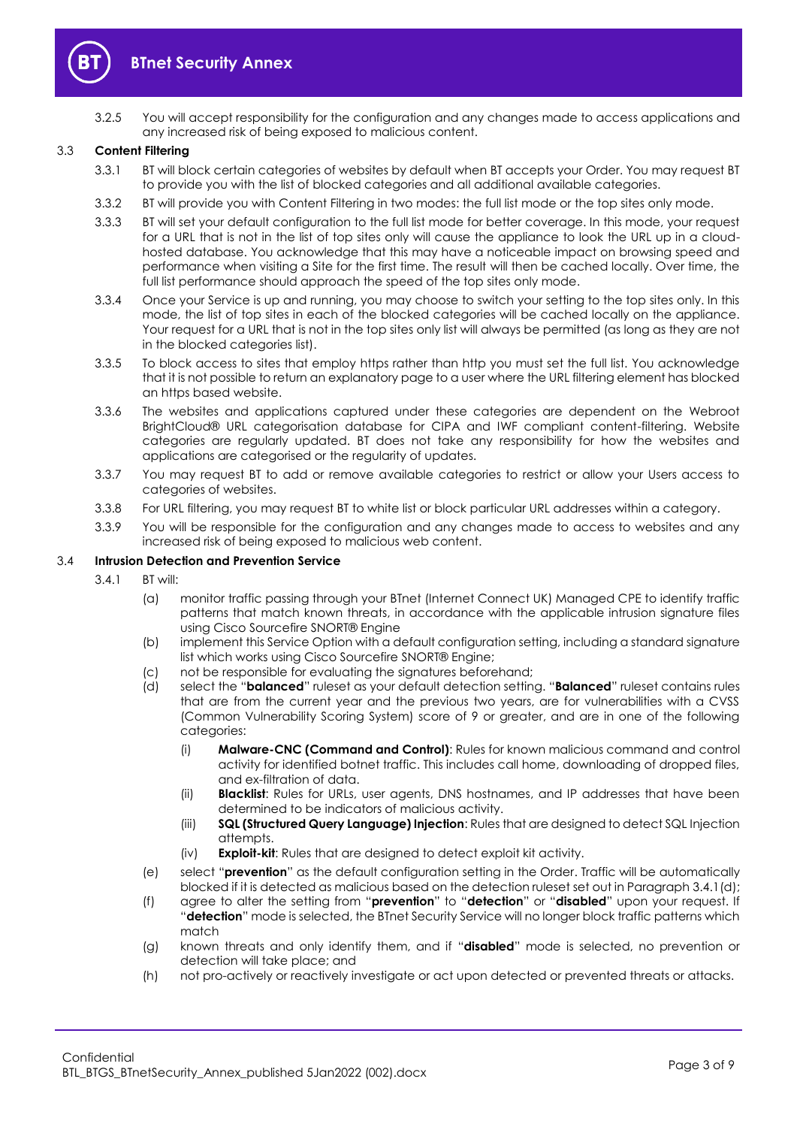

3.2.5 You will accept responsibility for the configuration and any changes made to access applications and any increased risk of being exposed to malicious content.

#### 3.3 **Content Filtering**

- 3.3.1 BT will block certain categories of websites by default when BT accepts your Order. You may request BT to provide you with the list of blocked categories and all additional available categories.
- 3.3.2 BT will provide you with Content Filtering in two modes: the full list mode or the top sites only mode.
- 3.3.3 BT will set your default configuration to the full list mode for better coverage. In this mode, your request for a URL that is not in the list of top sites only will cause the appliance to look the URL up in a cloudhosted database. You acknowledge that this may have a noticeable impact on browsing speed and performance when visiting a Site for the first time. The result will then be cached locally. Over time, the full list performance should approach the speed of the top sites only mode.
- 3.3.4 Once your Service is up and running, you may choose to switch your setting to the top sites only. In this mode, the list of top sites in each of the blocked categories will be cached locally on the appliance. Your request for a URL that is not in the top sites only list will always be permitted (as long as they are not in the blocked categories list).
- 3.3.5 To block access to sites that employ https rather than http you must set the full list. You acknowledge that it is not possible to return an explanatory page to a user where the URL filtering element has blocked an https based website.
- 3.3.6 The websites and applications captured under these categories are dependent on the Webroot BrightCloud® URL categorisation database for CIPA and IWF compliant content-filtering. Website categories are regularly updated. BT does not take any responsibility for how the websites and applications are categorised or the regularity of updates.
- 3.3.7 You may request BT to add or remove available categories to restrict or allow your Users access to categories of websites.
- 3.3.8 For URL filtering, you may request BT to white list or block particular URL addresses within a category.
- 3.3.9 You will be responsible for the configuration and any changes made to access to websites and any increased risk of being exposed to malicious web content.

#### 3.4 **Intrusion Detection and Prevention Service**

- <span id="page-2-0"></span>3.4.1 BT will:
	- (a) monitor traffic passing through your BTnet (Internet Connect UK) Managed CPE to identify traffic patterns that match known threats, in accordance with the applicable intrusion signature files using Cisco Sourcefire SNORT® Engine
	- (b) implement this Service Option with a default configuration setting, including a standard signature list which works using Cisco Sourcefire SNORT® Engine;
	- (c) not be responsible for evaluating the signatures beforehand;
	- (d) select the "**balanced**" ruleset as your default detection setting. "**Balanced**" ruleset contains rules that are from the current year and the previous two years, are for vulnerabilities with a CVSS (Common Vulnerability Scoring System) score of 9 or greater, and are in one of the following categories:
		- (i) **Malware-CNC (Command and Control)**: Rules for known malicious command and control activity for identified botnet traffic. This includes call home, downloading of dropped files, and ex-filtration of data.
		- (ii) **Blacklist**: Rules for URLs, user agents, DNS hostnames, and IP addresses that have been determined to be indicators of malicious activity.
		- (iii) **SQL (Structured Query Language) Injection**: Rules that are designed to detect SQL Injection attempts.
		- (iv) **Exploit-kit**: Rules that are designed to detect exploit kit activity.
	- (e) select "**prevention**" as the default configuration setting in the Order. Traffic will be automatically blocked if it is detected as malicious based on the detection ruleset set out in Paragrap[h 3.4.1\(d\);](#page-2-0)
	- (f) agree to alter the setting from "**prevention**" to "**detection**" or "**disabled**" upon your request. If "**detection**" mode is selected, the BTnet Security Service will no longer block traffic patterns which match
	- (g) known threats and only identify them, and if "**disabled**" mode is selected, no prevention or detection will take place; and
	- (h) not pro-actively or reactively investigate or act upon detected or prevented threats or attacks.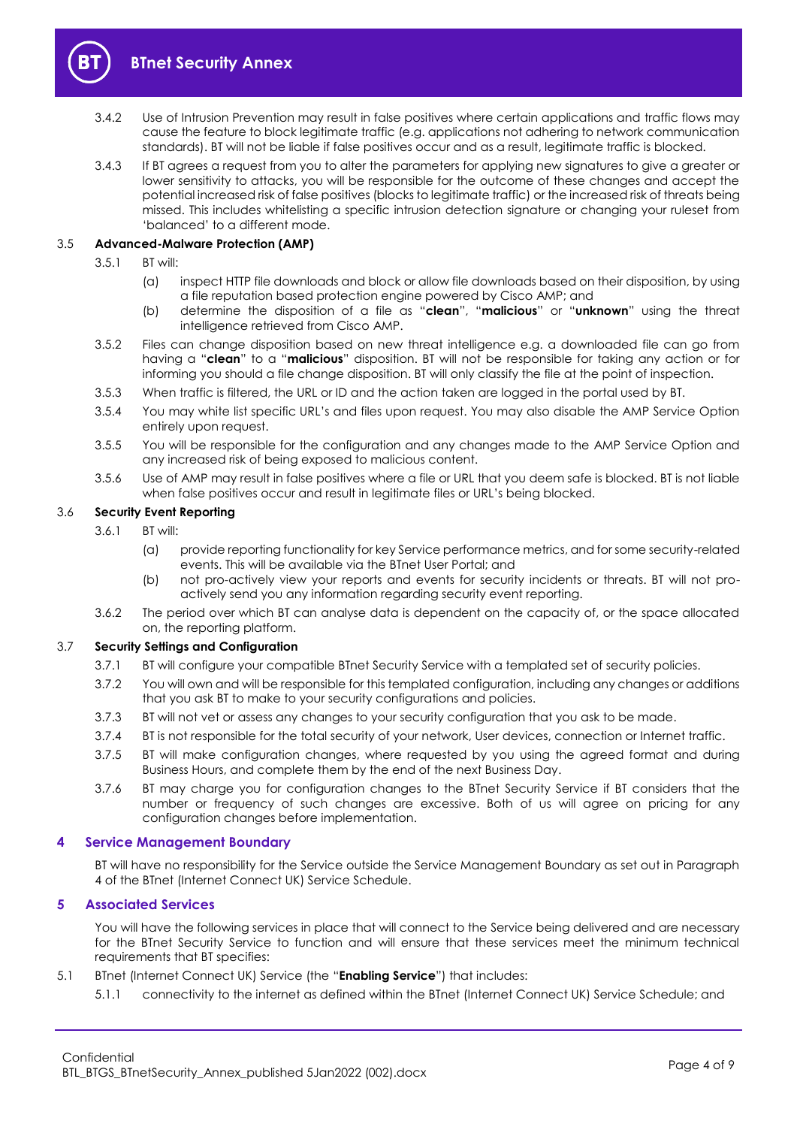

- 3.4.2 Use of Intrusion Prevention may result in false positives where certain applications and traffic flows may cause the feature to block legitimate traffic (e.g. applications not adhering to network communication standards). BT will not be liable if false positives occur and as a result, legitimate traffic is blocked.
- 3.4.3 If BT agrees a request from you to alter the parameters for applying new signatures to give a greater or lower sensitivity to attacks, you will be responsible for the outcome of these changes and accept the potential increased risk of false positives (blocks to legitimate traffic) or the increased risk of threats being missed. This includes whitelisting a specific intrusion detection signature or changing your ruleset from 'balanced' to a different mode.

#### 3.5 **Advanced-Malware Protection (AMP)**

- 3.5.1 BT will:
	- (a) inspect HTTP file downloads and block or allow file downloads based on their disposition, by using a file reputation based protection engine powered by Cisco AMP; and
	- (b) determine the disposition of a file as "**clean**", "**malicious**" or "**unknown**" using the threat intelligence retrieved from Cisco AMP.
- 3.5.2 Files can change disposition based on new threat intelligence e.g. a downloaded file can go from having a "**clean**" to a "**malicious**" disposition. BT will not be responsible for taking any action or for informing you should a file change disposition. BT will only classify the file at the point of inspection.
- 3.5.3 When traffic is filtered, the URL or ID and the action taken are logged in the portal used by BT.
- 3.5.4 You may white list specific URL's and files upon request. You may also disable the AMP Service Option entirely upon request.
- 3.5.5 You will be responsible for the configuration and any changes made to the AMP Service Option and any increased risk of being exposed to malicious content.
- 3.5.6 Use of AMP may result in false positives where a file or URL that you deem safe is blocked. BT is not liable when false positives occur and result in legitimate files or URL's being blocked.

#### 3.6 **Security Event Reporting**

- 3.6.1 BT will:
	- (a) provide reporting functionality for key Service performance metrics, and for some security-related events. This will be available via the BTnet User Portal; and
	- (b) not pro-actively view your reports and events for security incidents or threats. BT will not proactively send you any information regarding security event reporting.
- 3.6.2 The period over which BT can analyse data is dependent on the capacity of, or the space allocated on, the reporting platform.

#### 3.7 **Security Settings and Configuration**

- 3.7.1 BT will configure your compatible BTnet Security Service with a templated set of security policies.
- 3.7.2 You will own and will be responsible for this templated configuration, including any changes or additions that you ask BT to make to your security configurations and policies.
- 3.7.3 BT will not vet or assess any changes to your security configuration that you ask to be made.
- 3.7.4 BT is not responsible for the total security of your network, User devices, connection or Internet traffic.
- 3.7.5 BT will make configuration changes, where requested by you using the agreed format and during Business Hours, and complete them by the end of the next Business Day.
- 3.7.6 BT may charge you for configuration changes to the BTnet Security Service if BT considers that the number or frequency of such changes are excessive. Both of us will agree on pricing for any configuration changes before implementation.

#### <span id="page-3-0"></span>**4 Service Management Boundary**

BT will have no responsibility for the Service outside the Service Management Boundary as set out in Paragraph [4](#page-3-0) of the BTnet (Internet Connect UK) Service Schedule.

#### <span id="page-3-1"></span>**5 Associated Services**

You will have the following services in place that will connect to the Service being delivered and are necessary for the BTnet Security Service to function and will ensure that these services meet the minimum technical requirements that BT specifies:

- 5.1 BTnet (Internet Connect UK) Service (the "**Enabling Service**") that includes:
	- 5.1.1 connectivity to the internet as defined within the BTnet (Internet Connect UK) Service Schedule; and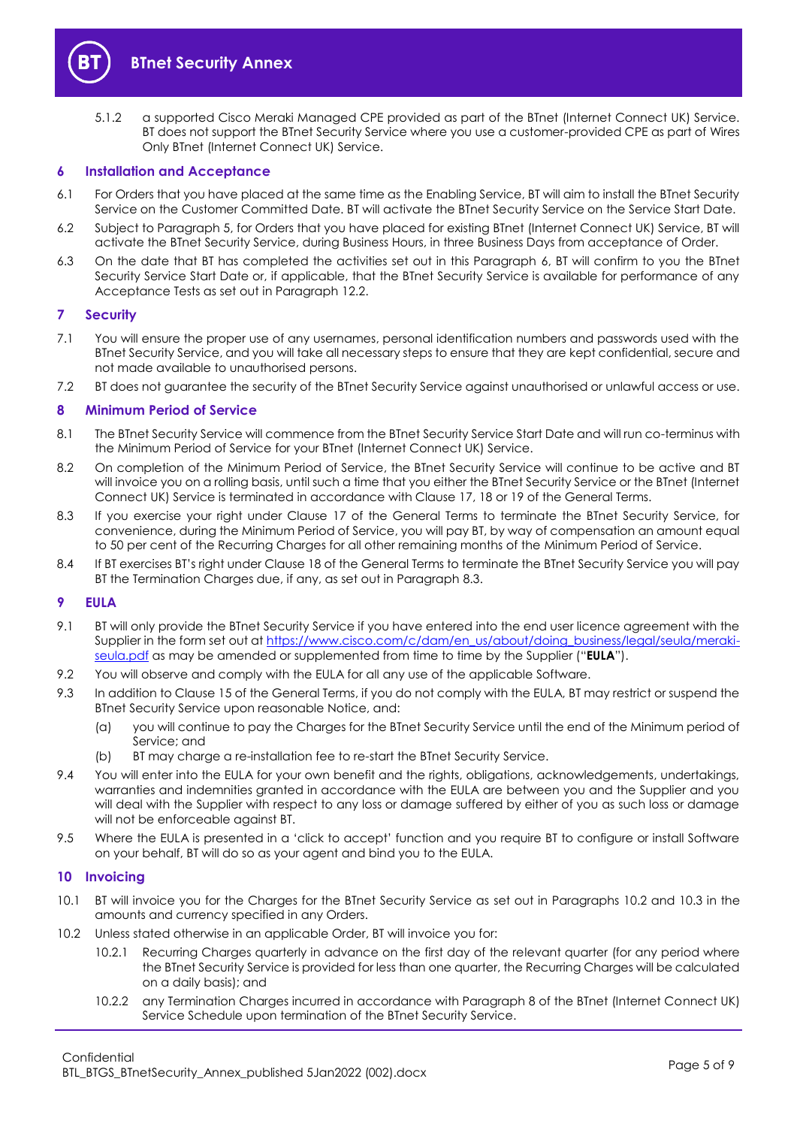

5.1.2 a supported Cisco Meraki Managed CPE provided as part of the BTnet (Internet Connect UK) Service. BT does not support the BTnet Security Service where you use a customer-provided CPE as part of Wires Only BTnet (Internet Connect UK) Service.

#### <span id="page-4-0"></span>**6 Installation and Acceptance**

- 6.1 For Orders that you have placed at the same time as the Enabling Service, BT will aim to install the BTnet Security Service on the Customer Committed Date. BT will activate the BTnet Security Service on the Service Start Date.
- 6.2 Subject to Paragraph [5,](#page-3-1) for Orders that you have placed for existing BTnet (Internet Connect UK) Service, BT will activate the BTnet Security Service, during Business Hours, in three Business Days from acceptance of Order.
- 6.3 On the date that BT has completed the activities set out in this Paragraph [6,](#page-4-0) BT will confirm to you the BTnet Security Service Start Date or, if applicable, that the BTnet Security Service is available for performance of any Acceptance Tests as set out in Paragraph [12.2.](#page-6-3)

#### <span id="page-4-1"></span>**7 Security**

- 7.1 You will ensure the proper use of any usernames, personal identification numbers and passwords used with the BTnet Security Service, and you will take all necessary steps to ensure that they are kept confidential, secure and not made available to unauthorised persons.
- 7.2 BT does not guarantee the security of the BTnet Security Service against unauthorised or unlawful access or use.

#### <span id="page-4-2"></span>**8 Minimum Period of Service**

- 8.1 The BTnet Security Service will commence from the BTnet Security Service Start Date and will run co-terminus with the Minimum Period of Service for your BTnet (Internet Connect UK) Service.
- 8.2 On completion of the Minimum Period of Service, the BTnet Security Service will continue to be active and BT will invoice you on a rolling basis, until such a time that you either the BTnet Security Service or the BTnet (Internet Connect UK) Service is terminated in accordance with Clause 17, 18 or 19 of the General Terms.
- <span id="page-4-5"></span>8.3 If you exercise your right under Clause 17 of the General Terms to terminate the BTnet Security Service, for convenience, during the Minimum Period of Service, you will pay BT, by way of compensation an amount equal to 50 per cent of the Recurring Charges for all other remaining months of the Minimum Period of Service.
- 8.4 If BT exercises BT's right under Clause 18 of the General Terms to terminate the BTnet Security Service you will pay BT the Termination Charges due, if any, as set out in Paragraph [8.3.](#page-4-5)

#### <span id="page-4-3"></span>**9 EULA**

- <span id="page-4-7"></span>9.1 BT will only provide the BTnet Security Service if you have entered into the end user licence agreement with the Supplier in the form set out at [https://www.cisco.com/c/dam/en\\_us/about/doing\\_business/legal/seula/meraki](https://www.cisco.com/c/dam/en_us/about/doing_business/legal/seula/meraki-seula.pdf)[seula.pdf](https://www.cisco.com/c/dam/en_us/about/doing_business/legal/seula/meraki-seula.pdf) as may be amended or supplemented from time to time by the Supplier ("**EULA**").
- 9.2 You will observe and comply with the EULA for all any use of the applicable Software.
- 9.3 In addition to Clause 15 of the General Terms, if you do not comply with the EULA, BT may restrict or suspend the BTnet Security Service upon reasonable Notice, and:
	- (a) you will continue to pay the Charges for the BTnet Security Service until the end of the Minimum period of Service; and
	- (b) BT may charge a re-installation fee to re-start the BTnet Security Service.
- 9.4 You will enter into the EULA for your own benefit and the rights, obligations, acknowledgements, undertakings, warranties and indemnities granted in accordance with the EULA are between you and the Supplier and you will deal with the Supplier with respect to any loss or damage suffered by either of you as such loss or damage will not be enforceable against BT.
- 9.5 Where the EULA is presented in a 'click to accept' function and you require BT to configure or install Software on your behalf, BT will do so as your agent and bind you to the EULA.

#### <span id="page-4-4"></span>**10 Invoicing**

- 10.1 BT will invoice you for the Charges for the BTnet Security Service as set out in Paragraphs [10.2](#page-4-6) and [10.3](#page-5-1) in the amounts and currency specified in any Orders.
- <span id="page-4-6"></span>10.2 Unless stated otherwise in an applicable Order, BT will invoice you for:
	- 10.2.1 Recurring Charges quarterly in advance on the first day of the relevant quarter (for any period where the BTnet Security Service is provided for less than one quarter, the Recurring Charges will be calculated on a daily basis); and
	- 10.2.2 any Termination Charges incurred in accordance with Paragraph 8 of the BTnet (Internet Connect UK) Service Schedule upon termination of the BTnet Security Service.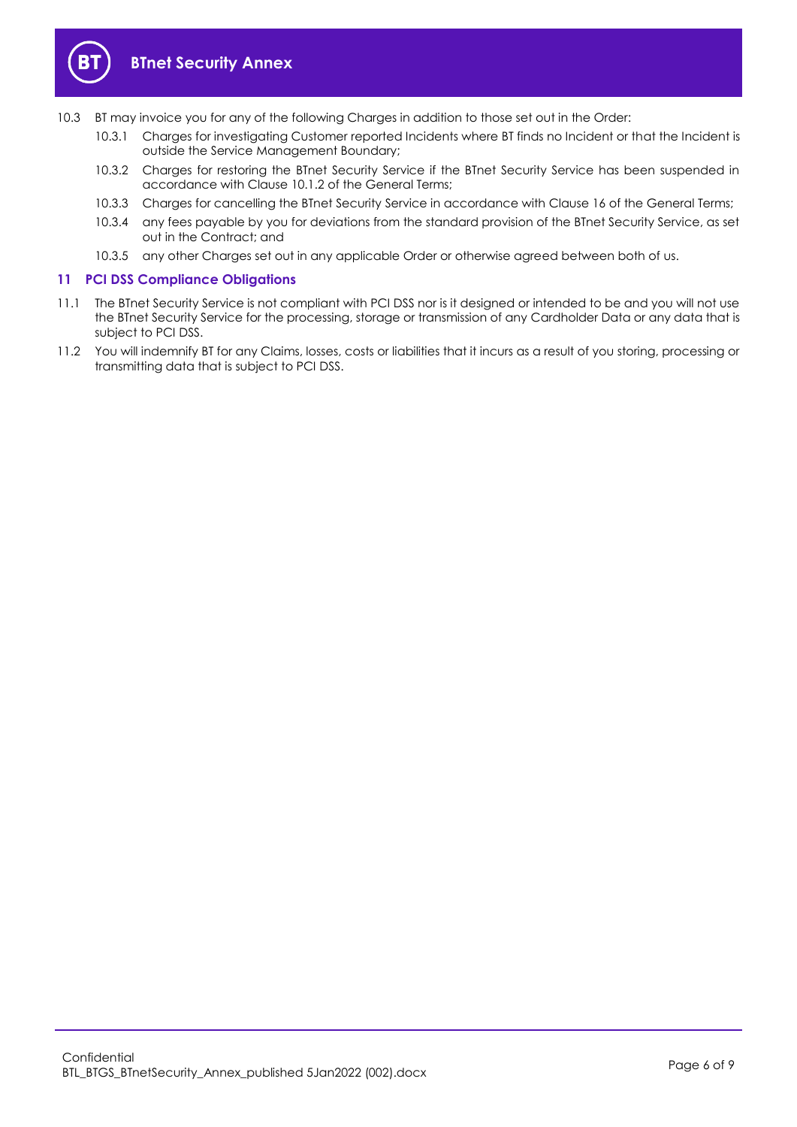

- <span id="page-5-1"></span>10.3 BT may invoice you for any of the following Charges in addition to those set out in the Order:
	- 10.3.1 Charges for investigating Customer reported Incidents where BT finds no Incident or that the Incident is outside the Service Management Boundary;
	- 10.3.2 Charges for restoring the BTnet Security Service if the BTnet Security Service has been suspended in accordance with Clause 10.1.2 of the General Terms;
	- 10.3.3 Charges for cancelling the BTnet Security Service in accordance with Clause 16 of the General Terms;
	- 10.3.4 any fees payable by you for deviations from the standard provision of the BTnet Security Service, as set out in the Contract; and
	- 10.3.5 any other Charges set out in any applicable Order or otherwise agreed between both of us.

#### <span id="page-5-0"></span>**11 PCI DSS Compliance Obligations**

- 11.1 The BTnet Security Service is not compliant with PCI DSS nor is it designed or intended to be and you will not use the BTnet Security Service for the processing, storage or transmission of any Cardholder Data or any data that is subject to PCI DSS.
- 11.2 You will indemnify BT for any Claims, losses, costs or liabilities that it incurs as a result of you storing, processing or transmitting data that is subject to PCI DSS.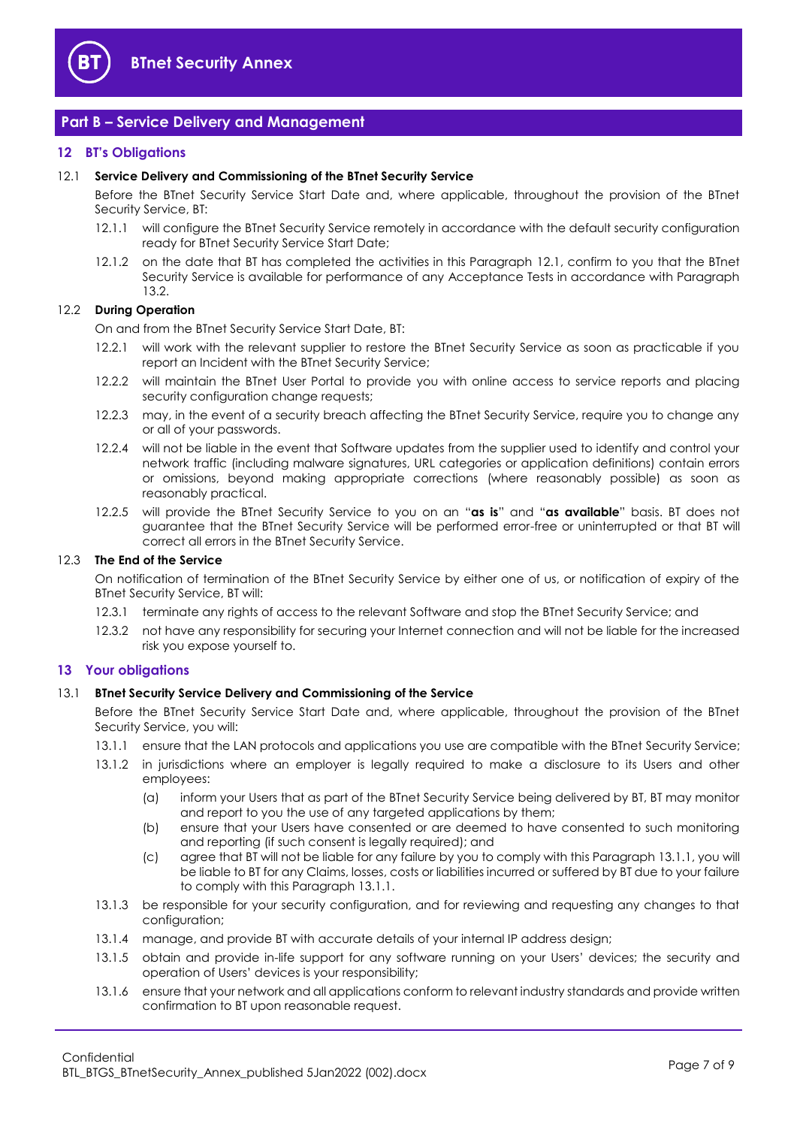

### <span id="page-6-0"></span>**Part B – Service Delivery and Management**

#### <span id="page-6-1"></span>**12 BT's Obligations**

#### <span id="page-6-4"></span>12.1 **Service Delivery and Commissioning of the BTnet Security Service**

Before the BTnet Security Service Start Date and, where applicable, throughout the provision of the BTnet Security Service, BT:

- 12.1.1 will configure the BTnet Security Service remotely in accordance with the default security configuration ready for BTnet Security Service Start Date;
- <span id="page-6-6"></span>12.1.2 on the date that BT has completed the activities in this Paragraph [12.1,](#page-6-4) confirm to you that the BTnet Security Service is available for performance of any Acceptance Tests in accordance with Paragraph [13.2.](#page-7-1)

#### <span id="page-6-3"></span>12.2 **During Operation**

On and from the BTnet Security Service Start Date, BT:

- 12.2.1 will work with the relevant supplier to restore the BTnet Security Service as soon as practicable if you report an Incident with the BTnet Security Service;
- 12.2.2 will maintain the BTnet User Portal to provide you with online access to service reports and placing security configuration change requests;
- 12.2.3 may, in the event of a security breach affecting the BTnet Security Service, require you to change any or all of your passwords.
- 12.2.4 will not be liable in the event that Software updates from the supplier used to identify and control your network traffic (including malware signatures, URL categories or application definitions) contain errors or omissions, beyond making appropriate corrections (where reasonably possible) as soon as reasonably practical.
- 12.2.5 will provide the BTnet Security Service to you on an "**as is**" and "**as available**" basis. BT does not guarantee that the BTnet Security Service will be performed error-free or uninterrupted or that BT will correct all errors in the BTnet Security Service.

#### 12.3 **The End of the Service**

On notification of termination of the BTnet Security Service by either one of us, or notification of expiry of the BTnet Security Service, BT will:

- 12.3.1 terminate any rights of access to the relevant Software and stop the BTnet Security Service; and
- 12.3.2 not have any responsibility for securing your Internet connection and will not be liable for the increased risk you expose yourself to.

#### <span id="page-6-2"></span>**13 Your obligations**

#### 13.1 **BTnet Security Service Delivery and Commissioning of the Service**

Before the BTnet Security Service Start Date and, where applicable, throughout the provision of the BTnet Security Service, you will:

- <span id="page-6-5"></span>13.1.1 ensure that the LAN protocols and applications you use are compatible with the BTnet Security Service;
- <span id="page-6-7"></span>13.1.2 in jurisdictions where an employer is legally required to make a disclosure to its Users and other employees:
	- (a) inform your Users that as part of the BTnet Security Service being delivered by BT, BT may monitor and report to you the use of any targeted applications by them;
	- (b) ensure that your Users have consented or are deemed to have consented to such monitoring and reporting (if such consent is legally required); and
	- (c) agree that BT will not be liable for any failure by you to comply with this Paragrap[h 13.1.1,](#page-6-5) you will be liable to BT for any Claims, losses, costs or liabilities incurred or suffered by BT due to your failure to comply with this Paragrap[h 13.1.1.](#page-6-5)
- 13.1.3 be responsible for your security configuration, and for reviewing and requesting any changes to that configuration;
- 13.1.4 manage, and provide BT with accurate details of your internal IP address design;
- 13.1.5 obtain and provide in-life support for any software running on your Users' devices; the security and operation of Users' devices is your responsibility;
- 13.1.6 ensure that your network and all applications conform to relevant industry standards and provide written confirmation to BT upon reasonable request.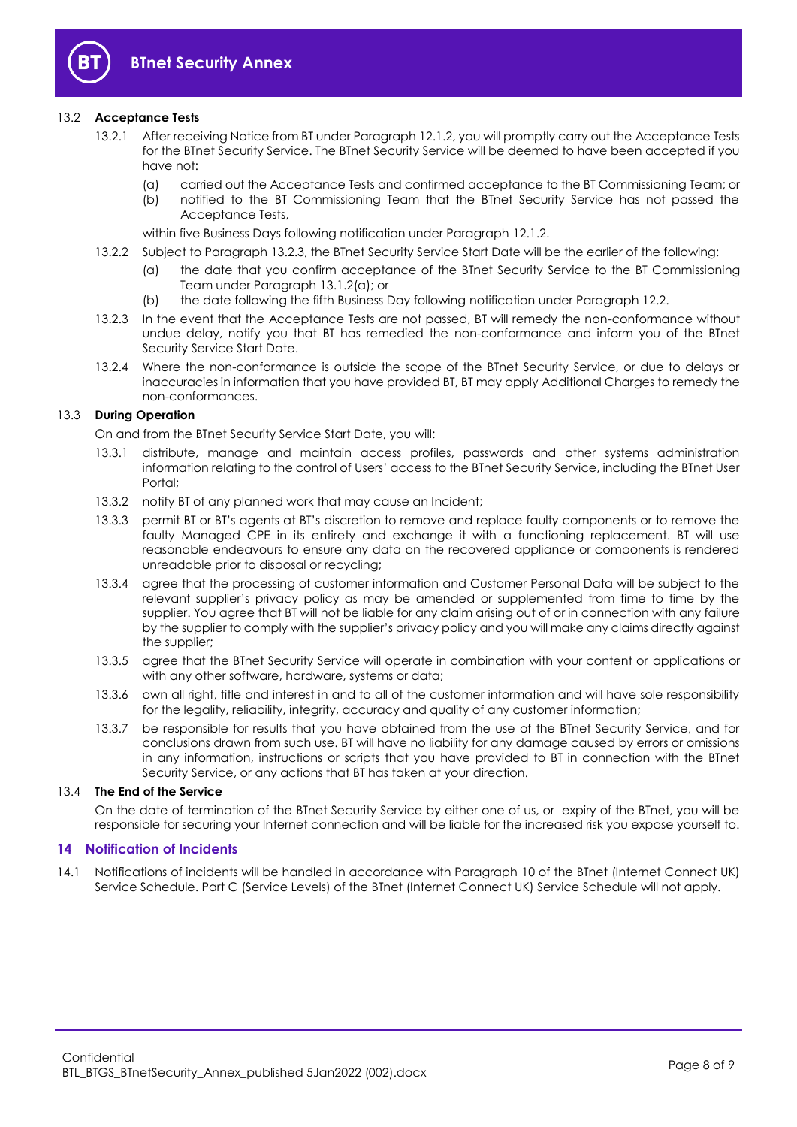

#### <span id="page-7-1"></span>13.2 **Acceptance Tests**

- 13.2.1 After receiving Notice from BT under Paragraph [12.1.2,](#page-6-6) you will promptly carry out the Acceptance Tests for the BTnet Security Service. The BTnet Security Service will be deemed to have been accepted if you have not:
	- (a) carried out the Acceptance Tests and confirmed acceptance to the BT Commissioning Team; or
	- (b) notified to the BT Commissioning Team that the BTnet Security Service has not passed the Acceptance Tests,

within five Business Days following notification under Paragraph [12.1.2.](#page-6-6)

- 13.2.2 Subject to Paragraph [13.2.3,](#page-7-2) the BTnet Security Service Start Date will be the earlier of the following:
	- (a) the date that you confirm acceptance of the BTnet Security Service to the BT Commissioning Team under Paragraph [13.1.2\(a\);](#page-6-7) or
	- (b) the date following the fifth Business Day following notification under Paragrap[h 12.2.](#page-6-3)
- <span id="page-7-2"></span>13.2.3 In the event that the Acceptance Tests are not passed, BT will remedy the non-conformance without undue delay, notify you that BT has remedied the non-conformance and inform you of the BTnet Security Service Start Date.
- 13.2.4 Where the non-conformance is outside the scope of the BTnet Security Service, or due to delays or inaccuracies in information that you have provided BT, BT may apply Additional Charges to remedy the non-conformances.

#### 13.3 **During Operation**

On and from the BTnet Security Service Start Date, you will:

- 13.3.1 distribute, manage and maintain access profiles, passwords and other systems administration information relating to the control of Users' access to the BTnet Security Service, including the BTnet User Portal;
- 13.3.2 notify BT of any planned work that may cause an Incident;
- 13.3.3 permit BT or BT's agents at BT's discretion to remove and replace faulty components or to remove the faulty Managed CPE in its entirety and exchange it with a functioning replacement. BT will use reasonable endeavours to ensure any data on the recovered appliance or components is rendered unreadable prior to disposal or recycling;
- 13.3.4 agree that the processing of customer information and Customer Personal Data will be subject to the relevant supplier's privacy policy as may be amended or supplemented from time to time by the supplier. You agree that BT will not be liable for any claim arising out of or in connection with any failure by the supplier to comply with the supplier's privacy policy and you will make any claims directly against the supplier;
- 13.3.5 agree that the BTnet Security Service will operate in combination with your content or applications or with any other software, hardware, systems or data;
- 13.3.6 own all right, title and interest in and to all of the customer information and will have sole responsibility for the legality, reliability, integrity, accuracy and quality of any customer information;
- 13.3.7 be responsible for results that you have obtained from the use of the BTnet Security Service, and for conclusions drawn from such use. BT will have no liability for any damage caused by errors or omissions in any information, instructions or scripts that you have provided to BT in connection with the BTnet Security Service, or any actions that BT has taken at your direction.

#### 13.4 **The End of the Service**

On the date of termination of the BTnet Security Service by either one of us, or expiry of the BTnet, you will be responsible for securing your Internet connection and will be liable for the increased risk you expose yourself to.

#### <span id="page-7-0"></span>**14 Notification of Incidents**

14.1 Notifications of incidents will be handled in accordance with Paragraph [10](#page-4-4) of the BTnet (Internet Connect UK) Service Schedule. Part C (Service Levels) of the BTnet (Internet Connect UK) Service Schedule will not apply.